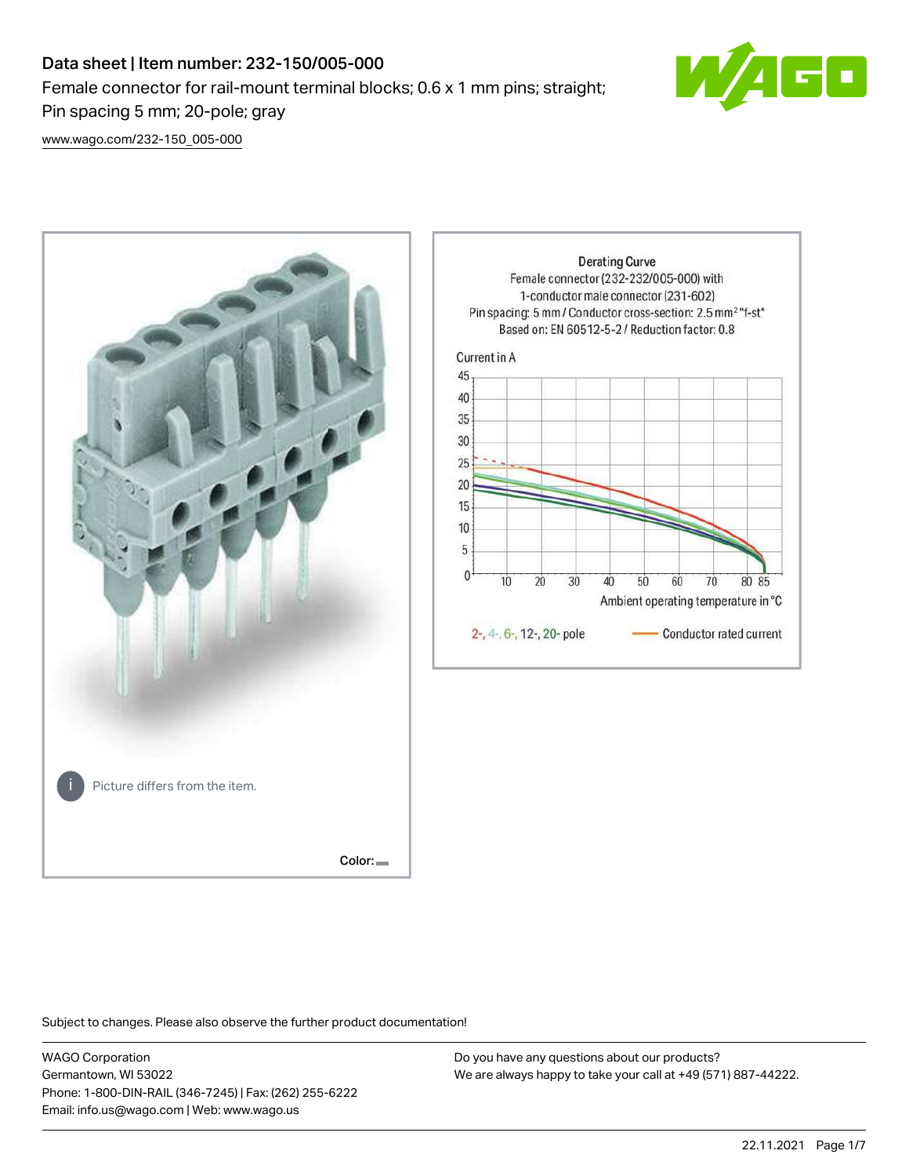# Data sheet | Item number: 232-150/005-000 Female connector for rail-mount terminal blocks; 0.6 x 1 mm pins; straight; Pin spacing 5 mm; 20-pole; gray



[www.wago.com/232-150\\_005-000](http://www.wago.com/232-150_005-000)



Subject to changes. Please also observe the further product documentation!

WAGO Corporation Germantown, WI 53022 Phone: 1-800-DIN-RAIL (346-7245) | Fax: (262) 255-6222 Email: info.us@wago.com | Web: www.wago.us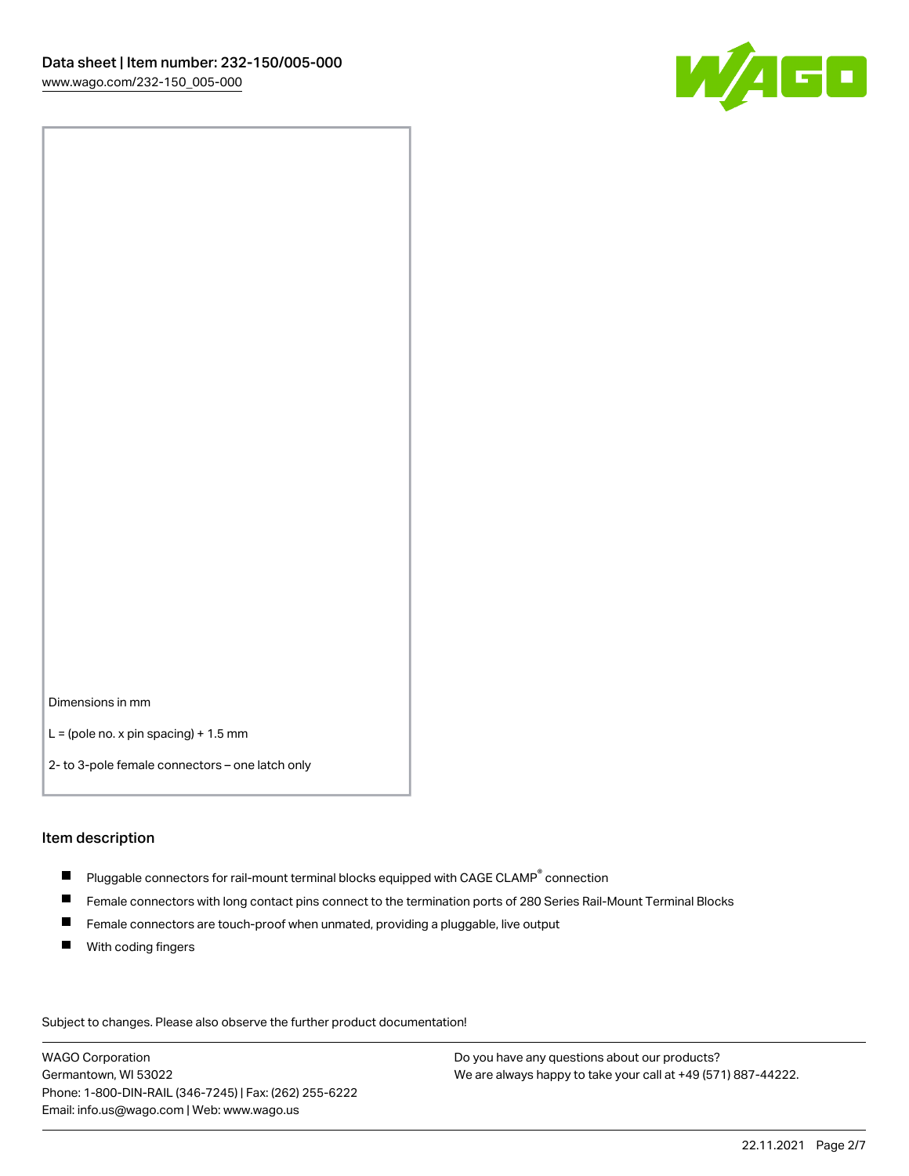

Dimensions in mm

 $L =$  (pole no. x pin spacing) + 1.5 mm

2- to 3-pole female connectors – one latch only

#### Item description

- $\blacksquare$  Pluggable connectors for rail-mount terminal blocks equipped with CAGE CLAMP $^\circ$  connection
- Female connectors with long contact pins connect to the termination ports of 280 Series Rail-Mount Terminal Blocks
- $\blacksquare$ Female connectors are touch-proof when unmated, providing a pluggable, live output
- $\blacksquare$ With coding fingers

Subject to changes. Please also observe the further product documentation! Data

WAGO Corporation Germantown, WI 53022 Phone: 1-800-DIN-RAIL (346-7245) | Fax: (262) 255-6222 Email: info.us@wago.com | Web: www.wago.us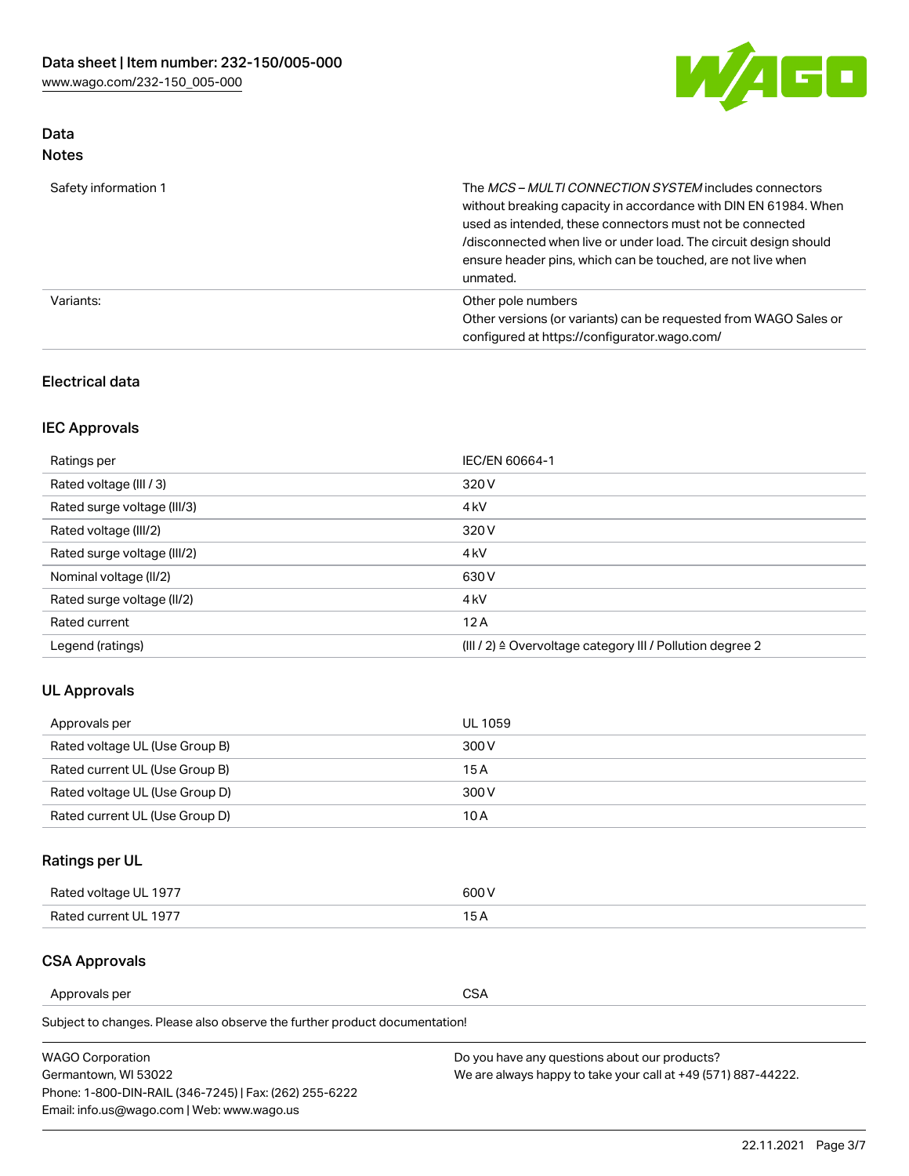

## Data Notes

| Safety information 1 | The MCS-MULTI CONNECTION SYSTEM includes connectors<br>without breaking capacity in accordance with DIN EN 61984. When<br>used as intended, these connectors must not be connected<br>/disconnected when live or under load. The circuit design should<br>ensure header pins, which can be touched, are not live when<br>unmated. |
|----------------------|-----------------------------------------------------------------------------------------------------------------------------------------------------------------------------------------------------------------------------------------------------------------------------------------------------------------------------------|
| Variants:            | Other pole numbers<br>Other versions (or variants) can be requested from WAGO Sales or<br>configured at https://configurator.wago.com/                                                                                                                                                                                            |

### Electrical data

## IEC Approvals

| Ratings per                 | IEC/EN 60664-1                                                        |
|-----------------------------|-----------------------------------------------------------------------|
| Rated voltage (III / 3)     | 320 V                                                                 |
| Rated surge voltage (III/3) | 4 <sub>k</sub> V                                                      |
| Rated voltage (III/2)       | 320 V                                                                 |
| Rated surge voltage (III/2) | 4 <sub>k</sub> V                                                      |
| Nominal voltage (II/2)      | 630 V                                                                 |
| Rated surge voltage (II/2)  | 4 <sub>k</sub> V                                                      |
| Rated current               | 12A                                                                   |
| Legend (ratings)            | $(III / 2)$ $\triangle$ Overvoltage category III / Pollution degree 2 |

## UL Approvals

| Approvals per                  | UL 1059 |
|--------------------------------|---------|
| Rated voltage UL (Use Group B) | 300 V   |
| Rated current UL (Use Group B) | 15 A    |
| Rated voltage UL (Use Group D) | 300 V   |
| Rated current UL (Use Group D) | 10 A    |

## Ratings per UL

| Rated voltage UL 1977 | 300 V |
|-----------------------|-------|
| Rated current UL 1977 |       |

#### CSA Approvals

Approvals per CSA

Subject to changes. Please also observe the further product documentation!

| <b>WAGO Corporation</b>                                | Do you have any questions about our products?                 |
|--------------------------------------------------------|---------------------------------------------------------------|
| Germantown, WI 53022                                   | We are always happy to take your call at +49 (571) 887-44222. |
| Phone: 1-800-DIN-RAIL (346-7245)   Fax: (262) 255-6222 |                                                               |
| Email: info.us@wago.com   Web: www.wago.us             |                                                               |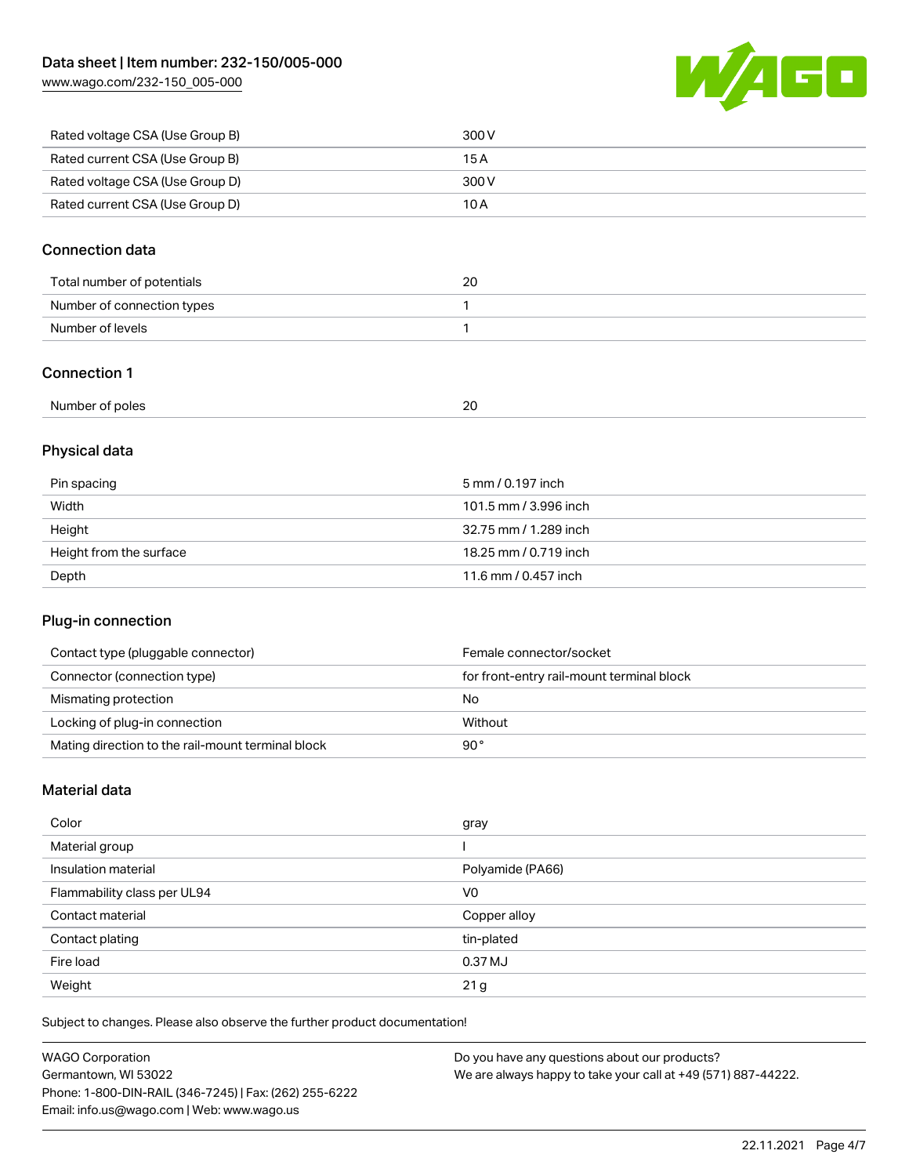[www.wago.com/232-150\\_005-000](http://www.wago.com/232-150_005-000)



| Rated voltage CSA (Use Group B) | 300 V |
|---------------------------------|-------|
| Rated current CSA (Use Group B) | 15 A  |
| Rated voltage CSA (Use Group D) | 300 V |
| Rated current CSA (Use Group D) | 10 A  |

### Connection data

| Total number of potentials | 20 |
|----------------------------|----|
| Number of connection types |    |
| Number of levels           |    |

### Connection 1

| Number<br>f of poles | oc<br>--<br>$\sim$ |  |
|----------------------|--------------------|--|
|                      |                    |  |

## Physical data

| Pin spacing             | 5 mm / 0.197 inch     |
|-------------------------|-----------------------|
| Width                   | 101.5 mm / 3.996 inch |
| Height                  | 32.75 mm / 1.289 inch |
| Height from the surface | 18.25 mm / 0.719 inch |
| Depth                   | 11.6 mm / 0.457 inch  |

### Plug-in connection

| Contact type (pluggable connector)                | Female connector/socket                   |
|---------------------------------------------------|-------------------------------------------|
| Connector (connection type)                       | for front-entry rail-mount terminal block |
| Mismating protection                              | No                                        |
| Locking of plug-in connection                     | Without                                   |
| Mating direction to the rail-mount terminal block | 90°                                       |

### Material data

| Color                       | gray             |
|-----------------------------|------------------|
| Material group              |                  |
| Insulation material         | Polyamide (PA66) |
| Flammability class per UL94 | V <sub>0</sub>   |
| Contact material            | Copper alloy     |
| Contact plating             | tin-plated       |
| Fire load                   | 0.37 MJ          |
| Weight                      | 21 <sub>g</sub>  |

Subject to changes. Please also observe the further product documentation!

| <b>WAGO Corporation</b>                                | Do you have any questions about our products?                 |
|--------------------------------------------------------|---------------------------------------------------------------|
| Germantown, WI 53022                                   | We are always happy to take your call at +49 (571) 887-44222. |
| Phone: 1-800-DIN-RAIL (346-7245)   Fax: (262) 255-6222 |                                                               |
| Email: info.us@wago.com   Web: www.wago.us             |                                                               |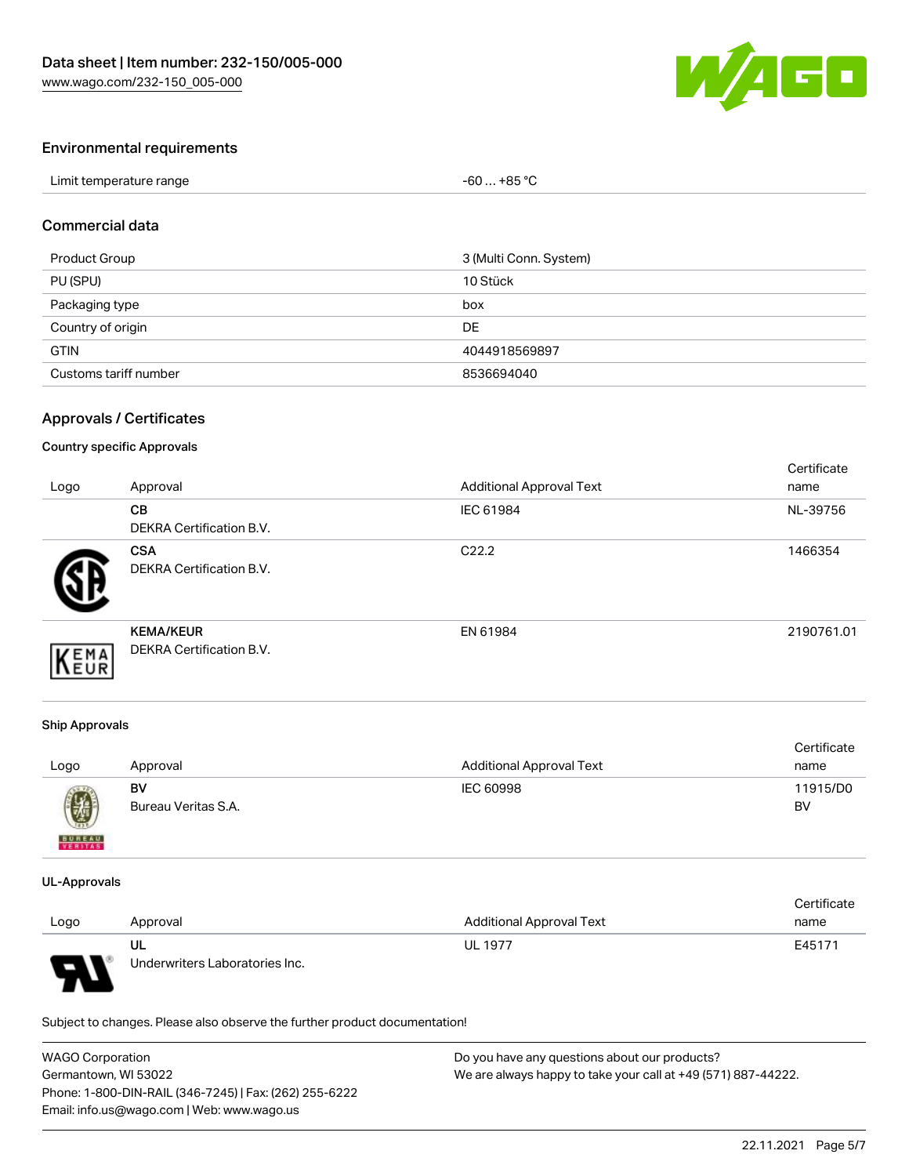

#### Environmental requirements

| Limit temperature range | $-60+85 °C$ |
|-------------------------|-------------|
|-------------------------|-------------|

#### Commercial data

| Product Group         | 3 (Multi Conn. System) |
|-----------------------|------------------------|
| PU (SPU)              | 10 Stück               |
| Packaging type        | box                    |
| Country of origin     | DE                     |
| <b>GTIN</b>           | 4044918569897          |
| Customs tariff number | 8536694040             |

#### Approvals / Certificates

#### Country specific Approvals

| Logo | Approval                                            | <b>Additional Approval Text</b> | Certificate<br>name |
|------|-----------------------------------------------------|---------------------------------|---------------------|
|      | <b>CB</b><br><b>DEKRA Certification B.V.</b>        | IEC 61984                       | NL-39756            |
|      | <b>CSA</b><br>DEKRA Certification B.V.              | C <sub>22.2</sub>               | 1466354             |
| EMA  | <b>KEMA/KEUR</b><br><b>DEKRA Certification B.V.</b> | EN 61984                        | 2190761.01          |

#### Ship Approvals

| Logo          | Approval            | <b>Additional Approval Text</b> | Certificate<br>name |
|---------------|---------------------|---------------------------------|---------------------|
| U             | BV                  | IEC 60998                       | 11915/D0            |
| <b>BUREAU</b> | Bureau Veritas S.A. |                                 | BV                  |

#### UL-Approvals

|      |                                |                                 | Certificate |
|------|--------------------------------|---------------------------------|-------------|
| Logo | Approval                       | <b>Additional Approval Text</b> | name        |
|      | UL                             | <b>UL 1977</b>                  | E45171      |
| J    | Underwriters Laboratories Inc. |                                 |             |

Subject to changes. Please also observe the further product documentation!

| <b>WAGO Corporation</b>                                | Do you have any questions about our products?                 |
|--------------------------------------------------------|---------------------------------------------------------------|
| Germantown, WI 53022                                   | We are always happy to take your call at +49 (571) 887-44222. |
| Phone: 1-800-DIN-RAIL (346-7245)   Fax: (262) 255-6222 |                                                               |
| Email: info.us@wago.com   Web: www.wago.us             |                                                               |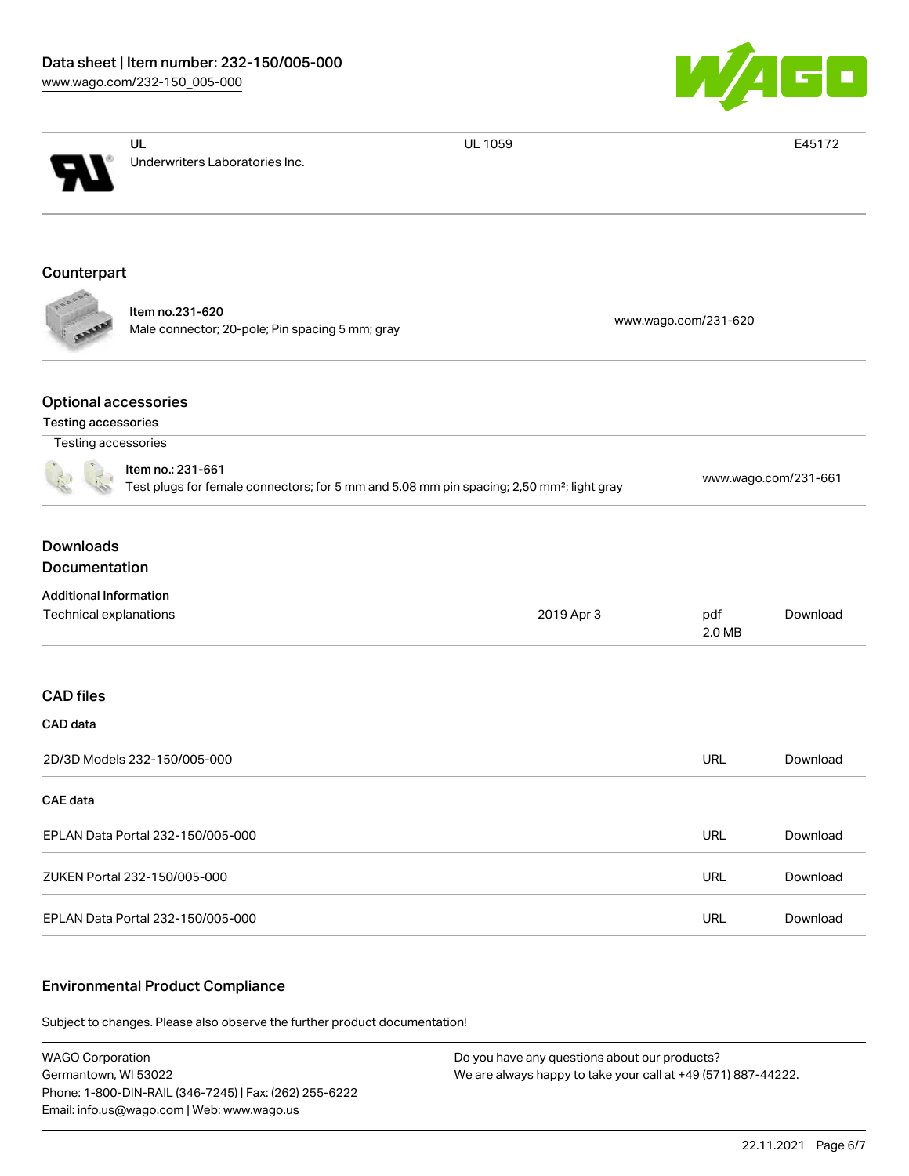

| Underwriters Laboratories Inc.<br>Counterpart                                                                              |                      |  |  |
|----------------------------------------------------------------------------------------------------------------------------|----------------------|--|--|
|                                                                                                                            |                      |  |  |
|                                                                                                                            |                      |  |  |
|                                                                                                                            |                      |  |  |
| Item no.231-620<br>Male connector; 20-pole; Pin spacing 5 mm; gray                                                         | www.wago.com/231-620 |  |  |
| <b>Optional accessories</b><br><b>Testing accessories</b>                                                                  |                      |  |  |
| Testing accessories                                                                                                        |                      |  |  |
| Item no.: 231-661<br>Test plugs for female connectors; for 5 mm and 5.08 mm pin spacing; 2,50 mm <sup>2</sup> ; light gray | www.wago.com/231-661 |  |  |
| <b>Downloads</b><br>Documentation                                                                                          |                      |  |  |
| <b>Additional Information</b>                                                                                              |                      |  |  |
| Technical explanations<br>2019 Apr 3<br>pdf                                                                                | Download<br>2.0 MB   |  |  |
| <b>CAD</b> files                                                                                                           |                      |  |  |
| CAD data                                                                                                                   |                      |  |  |
| 2D/3D Models 232-150/005-000<br><b>URL</b>                                                                                 | Download             |  |  |
| CAE data                                                                                                                   |                      |  |  |
| <b>URL</b><br>EPLAN Data Portal 232-150/005-000                                                                            | Download             |  |  |
| <b>URL</b><br>ZUKEN Portal 232-150/005-000                                                                                 | Download             |  |  |
| EPLAN Data Portal 232-150/005-000<br><b>URL</b>                                                                            | Download             |  |  |

#### Environmental Product Compliance

Subject to changes. Please also observe the further product documentation!

WAGO Corporation Germantown, WI 53022 Phone: 1-800-DIN-RAIL (346-7245) | Fax: (262) 255-6222 Email: info.us@wago.com | Web: www.wago.us